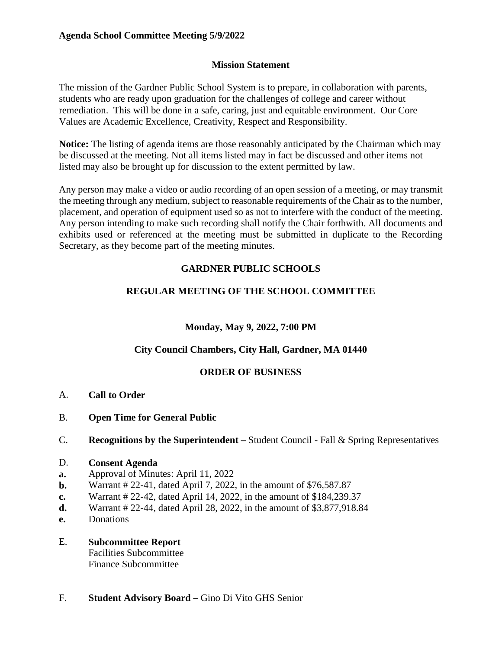#### **Mission Statement**

The mission of the Gardner Public School System is to prepare, in collaboration with parents, students who are ready upon graduation for the challenges of college and career without remediation. This will be done in a safe, caring, just and equitable environment. Our Core Values are Academic Excellence, Creativity, Respect and Responsibility.

**Notice:** The listing of agenda items are those reasonably anticipated by the Chairman which may be discussed at the meeting. Not all items listed may in fact be discussed and other items not listed may also be brought up for discussion to the extent permitted by law.

Any person may make a video or audio recording of an open session of a meeting, or may transmit the meeting through any medium, subject to reasonable requirements of the Chair as to the number, placement, and operation of equipment used so as not to interfere with the conduct of the meeting. Any person intending to make such recording shall notify the Chair forthwith. All documents and exhibits used or referenced at the meeting must be submitted in duplicate to the Recording Secretary, as they become part of the meeting minutes.

# **GARDNER PUBLIC SCHOOLS**

# **REGULAR MEETING OF THE SCHOOL COMMITTEE**

## **Monday, May 9, 2022, 7:00 PM**

## **City Council Chambers, City Hall, Gardner, MA 01440**

## **ORDER OF BUSINESS**

- A. **Call to Order**
- B. **Open Time for General Public**
- C. **Recognitions by the Superintendent –** Student Council Fall & Spring Representatives

#### D. **Consent Agenda**

- **a.** Approval of Minutes: April 11, 2022
- **b.** Warrant # 22-41, dated April 7, 2022, in the amount of \$76,587.87
- **c.** Warrant # 22-42, dated April 14, 2022, in the amount of \$184,239.37
- **d.** Warrant # 22-44, dated April 28, 2022, in the amount of \$3,877,918.84
- **e.** Donations

## E. **Subcommittee Report**

 Facilities Subcommittee Finance Subcommittee

F. **Student Advisory Board –** Gino Di Vito GHS Senior